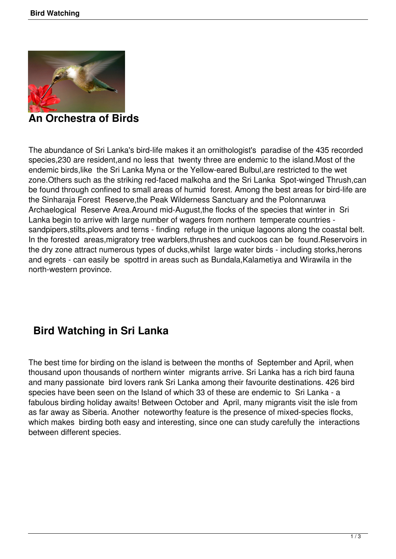

**An Orchestra of Birds** 

The abundance of Sri Lanka's bird-life makes it an ornithologist's paradise of the 435 recorded species,230 are resident,and no less that twenty three are endemic to the island.Most of the endemic birds,like the Sri Lanka Myna or the Yellow-eared Bulbul,are restricted to the wet zone.Others such as the striking red-faced malkoha and the Sri Lanka Spot-winged Thrush,can be found through confined to small areas of humid forest. Among the best areas for bird-life are the Sinharaja Forest Reserve,the Peak Wilderness Sanctuary and the Polonnaruwa Archaelogical Reserve Area.Around mid-August,the flocks of the species that winter in Sri Lanka begin to arrive with large number of wagers from northern temperate countries sandpipers,stilts,plovers and terns - finding refuge in the unique lagoons along the coastal belt. In the forested areas,migratory tree warblers,thrushes and cuckoos can be found.Reservoirs in the dry zone attract numerous types of ducks,whilst large water birds - including storks,herons and egrets - can easily be spottrd in areas such as Bundala,Kalametiya and Wirawila in the north-western province.

## **Bird Watching in Sri Lanka**

The best time for birding on the island is between the months of September and April, when thousand upon thousands of northern winter migrants arrive. Sri Lanka has a rich bird fauna and many passionate bird lovers rank Sri Lanka among their favourite destinations. 426 bird species have been seen on the Island of which 33 of these are endemic to Sri Lanka - a fabulous birding holiday awaits! Between October and April, many migrants visit the isle from as far away as Siberia. Another noteworthy feature is the presence of mixed-species flocks, which makes birding both easy and interesting, since one can study carefully the interactions between different species.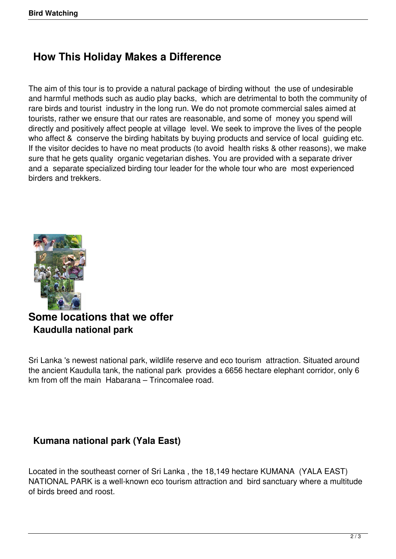# **How This Holiday Makes a Difference**

The aim of this tour is to provide a natural package of birding without the use of undesirable and harmful methods such as audio play backs, which are detrimental to both the community of rare birds and tourist industry in the long run. We do not promote commercial sales aimed at tourists, rather we ensure that our rates are reasonable, and some of money you spend will directly and positively affect people at village level. We seek to improve the lives of the people who affect & conserve the birding habitats by buying products and service of local guiding etc. If the visitor decides to have no meat products (to avoid health risks & other reasons), we make sure that he gets quality organic vegetarian dishes. You are provided with a separate driver and a separate specialized birding tour leader for the whole tour who are most experienced birders and trekkers.



## **Some locations that we offer Kaudulla national park**

Sri Lanka 's newest national park, wildlife reserve and eco tourism attraction. Situated around the ancient Kaudulla tank, the national park provides a 6656 hectare elephant corridor, only 6 km from off the main Habarana – Trincomalee road.

### **Kumana national park (Yala East)**

Located in the southeast corner of Sri Lanka , the 18,149 hectare KUMANA (YALA EAST) NATIONAL PARK is a well-known eco tourism attraction and bird sanctuary where a multitude of birds breed and roost.